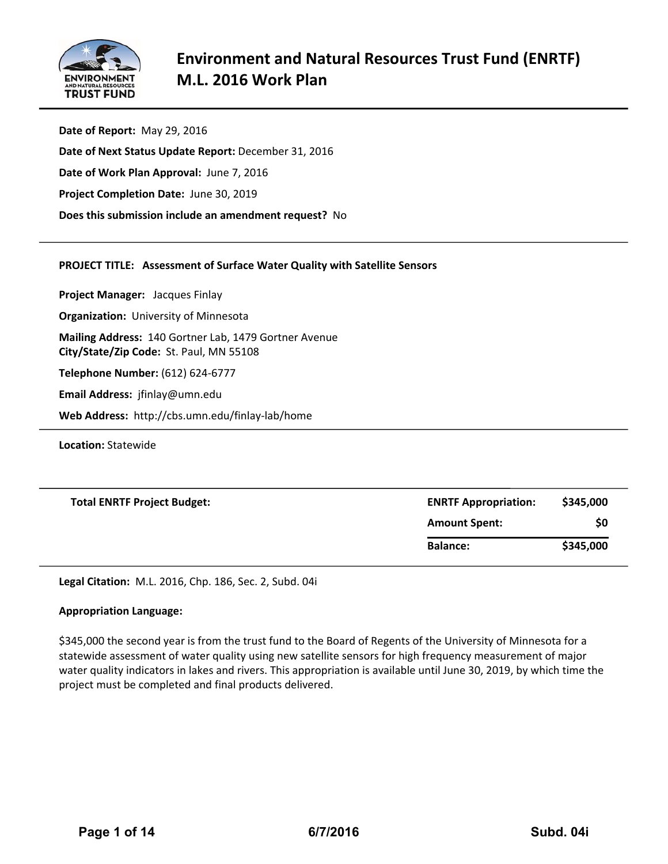

**Date of Report:** May 29, 2016 **Date of Next Status Update Report:** December 31, 2016 **Date of Work Plan Approval:** June 7, 2016 **Project Completion Date:** June 30, 2019 **Does this submission include an amendment request?** No

## **PROJECT TITLE: Assessment of Surface Water Quality with Satellite Sensors**

**Project Manager:**  Jacques Finlay **Organization:** University of Minnesota **Mailing Address:** 140 Gortner Lab, 1479 Gortner Avenue **City/State/Zip Code:** St. Paul, MN 55108 **Telephone Number:** (612) 624‐6777 **Email Address:** jfinlay@umn.edu **Web Address:** http://cbs.umn.edu/finlay‐lab/home

**Location:** Statewide

| <b>Total ENRTF Project Budget:</b> | <b>ENRTF Appropriation:</b> | \$345,000 |  |  |
|------------------------------------|-----------------------------|-----------|--|--|
|                                    | <b>Amount Spent:</b>        | \$0       |  |  |
|                                    | <b>Balance:</b>             | \$345,000 |  |  |

**Legal Citation:** M.L. 2016, Chp. 186, Sec. 2, Subd. 04i

## **Appropriation Language:**

\$345,000 the second year is from the trust fund to the Board of Regents of the University of Minnesota for a statewide assessment of water quality using new satellite sensors for high frequency measurement of major water quality indicators in lakes and rivers. This appropriation is available until June 30, 2019, by which time the project must be completed and final products delivered.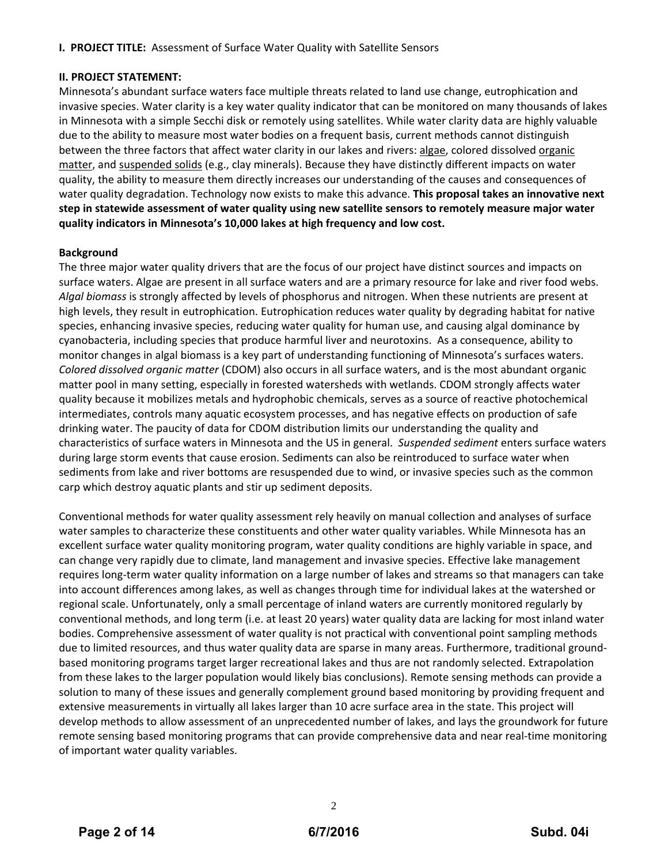**I. PROJECT TITLE:** Assessment of Surface Water Quality with Satellite Sensors

#### **II. PROJECT STATEMENT:**

Minnesota's abundant surface waters face multiple threats related to land use change, eutrophication and invasive species. Water clarity is a key water quality indicator that can be monitored on many thousands of lakes in Minnesota with a simple Secchi disk or remotely using satellites. While water clarity data are highly valuable due to the ability to measure most water bodies on a frequent basis, current methods cannot distinguish between the three factors that affect water clarity in our lakes and rivers: algae, colored dissolved organic matter, and suspended solids (e.g., clay minerals). Because they have distinctly different impacts on water quality, the ability to measure them directly increases our understanding of the causes and consequences of water quality degradation. Technology now exists to make this advance. **This proposal takes an innovative next step in statewide assessment of water quality using new satellite sensors to remotely measure major water quality indicators in Minnesota's 10,000 lakes at high frequency and low cost.**

### **Background**

The three major water quality drivers that are the focus of our project have distinct sources and impacts on surface waters. Algae are present in all surface waters and are a primary resource for lake and river food webs. *Algal biomass* is strongly affected by levels of phosphorus and nitrogen. When these nutrients are present at high levels, they result in eutrophication. Eutrophication reduces water quality by degrading habitat for native species, enhancing invasive species, reducing water quality for human use, and causing algal dominance by cyanobacteria, including species that produce harmful liver and neurotoxins. As a consequence, ability to monitor changes in algal biomass is a key part of understanding functioning of Minnesota's surfaces waters. *Colored dissolved organic matter* (CDOM) also occurs in all surface waters, and is the most abundant organic matter pool in many setting, especially in forested watersheds with wetlands. CDOM strongly affects water quality because it mobilizes metals and hydrophobic chemicals, serves as a source of reactive photochemical intermediates, controls many aquatic ecosystem processes, and has negative effects on production of safe drinking water. The paucity of data for CDOM distribution limits our understanding the quality and characteristics of surface waters in Minnesota and the US in general. *Suspended sediment* enters surface waters during large storm events that cause erosion. Sediments can also be reintroduced to surface water when sediments from lake and river bottoms are resuspended due to wind, or invasive species such as the common carp which destroy aquatic plants and stir up sediment deposits.

Conventional methods for water quality assessment rely heavily on manual collection and analyses of surface water samples to characterize these constituents and other water quality variables. While Minnesota has an excellent surface water quality monitoring program, water quality conditions are highly variable in space, and can change very rapidly due to climate, land management and invasive species. Effective lake management requires long‐term water quality information on a large number of lakes and streams so that managers can take into account differences among lakes, as well as changes through time for individual lakes at the watershed or regional scale. Unfortunately, only a small percentage of inland waters are currently monitored regularly by conventional methods, and long term (i.e. at least 20 years) water quality data are lacking for most inland water bodies. Comprehensive assessment of water quality is not practical with conventional point sampling methods due to limited resources, and thus water quality data are sparse in many areas. Furthermore, traditional groundbased monitoring programs target larger recreational lakes and thus are not randomly selected. Extrapolation from these lakes to the larger population would likely bias conclusions). Remote sensing methods can provide a solution to many of these issues and generally complement ground based monitoring by providing frequent and extensive measurements in virtually all lakes larger than 10 acre surface area in the state. This project will develop methods to allow assessment of an unprecedented number of lakes, and lays the groundwork for future remote sensing based monitoring programs that can provide comprehensive data and near real‐time monitoring of important water quality variables.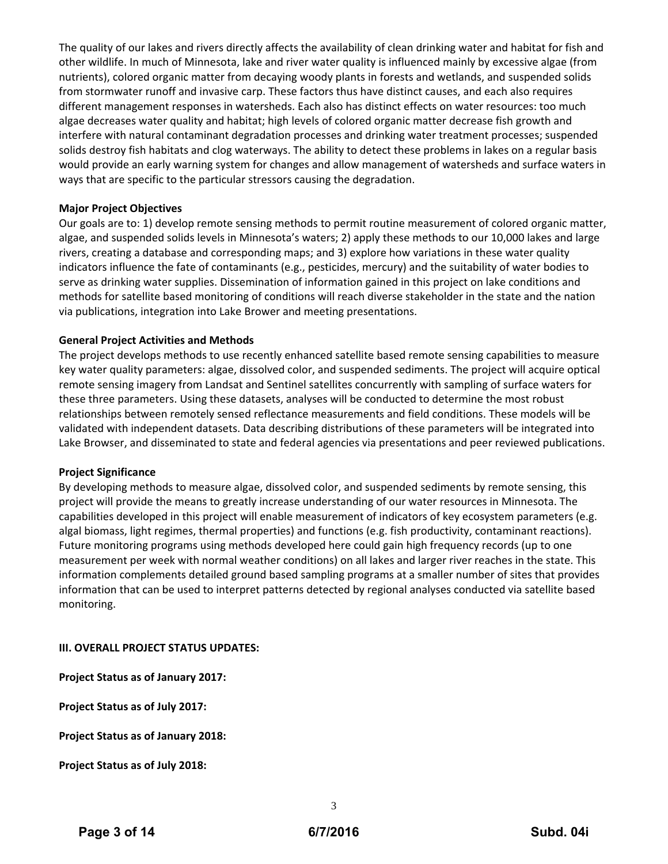The quality of our lakes and rivers directly affects the availability of clean drinking water and habitat for fish and other wildlife. In much of Minnesota, lake and river water quality is influenced mainly by excessive algae (from nutrients), colored organic matter from decaying woody plants in forests and wetlands, and suspended solids from stormwater runoff and invasive carp. These factors thus have distinct causes, and each also requires different management responses in watersheds. Each also has distinct effects on water resources: too much algae decreases water quality and habitat; high levels of colored organic matter decrease fish growth and interfere with natural contaminant degradation processes and drinking water treatment processes; suspended solids destroy fish habitats and clog waterways. The ability to detect these problems in lakes on a regular basis would provide an early warning system for changes and allow management of watersheds and surface waters in ways that are specific to the particular stressors causing the degradation.

#### **Major Project Objectives**

Our goals are to: 1) develop remote sensing methods to permit routine measurement of colored organic matter, algae, and suspended solids levels in Minnesota's waters; 2) apply these methods to our 10,000 lakes and large rivers, creating a database and corresponding maps; and 3) explore how variations in these water quality indicators influence the fate of contaminants (e.g., pesticides, mercury) and the suitability of water bodies to serve as drinking water supplies. Dissemination of information gained in this project on lake conditions and methods for satellite based monitoring of conditions will reach diverse stakeholder in the state and the nation via publications, integration into Lake Brower and meeting presentations.

### **General Project Activities and Methods**

The project develops methods to use recently enhanced satellite based remote sensing capabilities to measure key water quality parameters: algae, dissolved color, and suspended sediments. The project will acquire optical remote sensing imagery from Landsat and Sentinel satellites concurrently with sampling of surface waters for these three parameters. Using these datasets, analyses will be conducted to determine the most robust relationships between remotely sensed reflectance measurements and field conditions. These models will be validated with independent datasets. Data describing distributions of these parameters will be integrated into Lake Browser, and disseminated to state and federal agencies via presentations and peer reviewed publications.

#### **Project Significance**

By developing methods to measure algae, dissolved color, and suspended sediments by remote sensing, this project will provide the means to greatly increase understanding of our water resources in Minnesota. The capabilities developed in this project will enable measurement of indicators of key ecosystem parameters (e.g. algal biomass, light regimes, thermal properties) and functions (e.g. fish productivity, contaminant reactions). Future monitoring programs using methods developed here could gain high frequency records (up to one measurement per week with normal weather conditions) on all lakes and larger river reaches in the state. This information complements detailed ground based sampling programs at a smaller number of sites that provides information that can be used to interpret patterns detected by regional analyses conducted via satellite based monitoring.

#### **III. OVERALL PROJECT STATUS UPDATES:**

**Project Status as of January 2017:**

**Project Status as of July 2017:**

**Project Status as of January 2018:**

**Project Status as of July 2018:**

3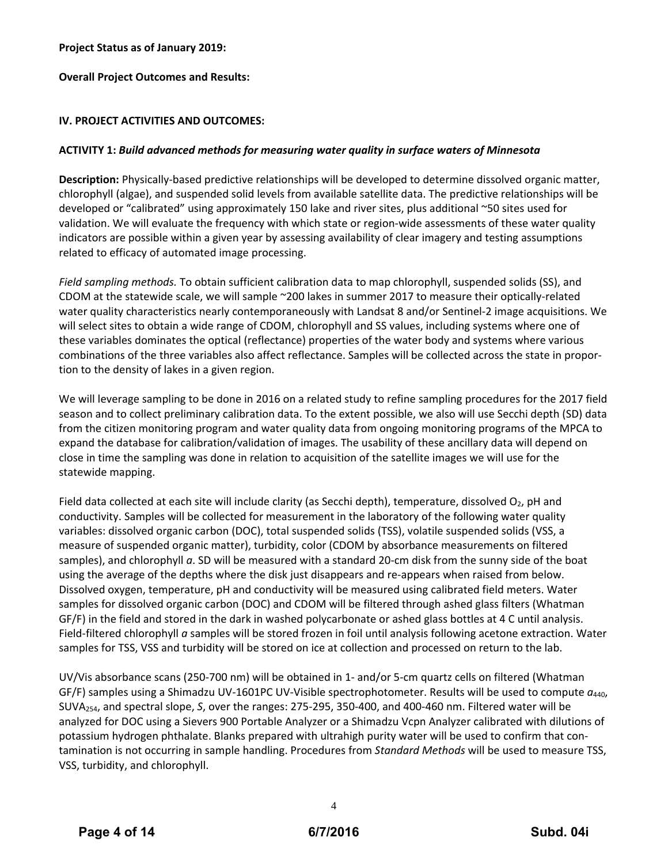## **Project Status as of January 2019:**

**Overall Project Outcomes and Results:**

## **IV. PROJECT ACTIVITIES AND OUTCOMES:**

## **ACTIVITY 1:** *Build advanced methods for measuring water quality in surface waters of Minnesota*

**Description:** Physically‐based predictive relationships will be developed to determine dissolved organic matter, chlorophyll (algae), and suspended solid levels from available satellite data. The predictive relationships will be developed or "calibrated" using approximately 150 lake and river sites, plus additional ~50 sites used for validation. We will evaluate the frequency with which state or region-wide assessments of these water quality indicators are possible within a given year by assessing availability of clear imagery and testing assumptions related to efficacy of automated image processing.

*Field sampling methods.* To obtain sufficient calibration data to map chlorophyll, suspended solids (SS), and CDOM at the statewide scale, we will sample ~200 lakes in summer 2017 to measure their optically‐related water quality characteristics nearly contemporaneously with Landsat 8 and/or Sentinel‐2 image acquisitions. We will select sites to obtain a wide range of CDOM, chlorophyll and SS values, including systems where one of these variables dominates the optical (reflectance) properties of the water body and systems where various combinations of the three variables also affect reflectance. Samples will be collected across the state in propor‐ tion to the density of lakes in a given region.

We will leverage sampling to be done in 2016 on a related study to refine sampling procedures for the 2017 field season and to collect preliminary calibration data. To the extent possible, we also will use Secchi depth (SD) data from the citizen monitoring program and water quality data from ongoing monitoring programs of the MPCA to expand the database for calibration/validation of images. The usability of these ancillary data will depend on close in time the sampling was done in relation to acquisition of the satellite images we will use for the statewide mapping.

Field data collected at each site will include clarity (as Secchi depth), temperature, dissolved  $O_2$ , pH and conductivity. Samples will be collected for measurement in the laboratory of the following water quality variables: dissolved organic carbon (DOC), total suspended solids (TSS), volatile suspended solids (VSS, a measure of suspended organic matter), turbidity, color (CDOM by absorbance measurements on filtered samples), and chlorophyll *a*. SD will be measured with a standard 20-cm disk from the sunny side of the boat using the average of the depths where the disk just disappears and re-appears when raised from below. Dissolved oxygen, temperature, pH and conductivity will be measured using calibrated field meters. Water samples for dissolved organic carbon (DOC) and CDOM will be filtered through ashed glass filters (Whatman GF/F) in the field and stored in the dark in washed polycarbonate or ashed glass bottles at 4 C until analysis. Field-filtered chlorophyll *a* samples will be stored frozen in foil until analysis following acetone extraction. Water samples for TSS, VSS and turbidity will be stored on ice at collection and processed on return to the lab.

UV/Vis absorbance scans (250‐700 nm) will be obtained in 1‐ and/or 5‐cm quartz cells on filtered (Whatman GF/F) samples using a Shimadzu UV‐1601PC UV‐Visible spectrophotometer. Results will be used to compute *a*440, SUVA254, and spectral slope, *S*, over the ranges: 275‐295, 350‐400, and 400‐460 nm. Filtered water will be analyzed for DOC using a Sievers 900 Portable Analyzer or a Shimadzu Vcpn Analyzer calibrated with dilutions of potassium hydrogen phthalate. Blanks prepared with ultrahigh purity water will be used to confirm that con‐ tamination is not occurring in sample handling. Procedures from *Standard Methods* will be used to measure TSS, VSS, turbidity, and chlorophyll.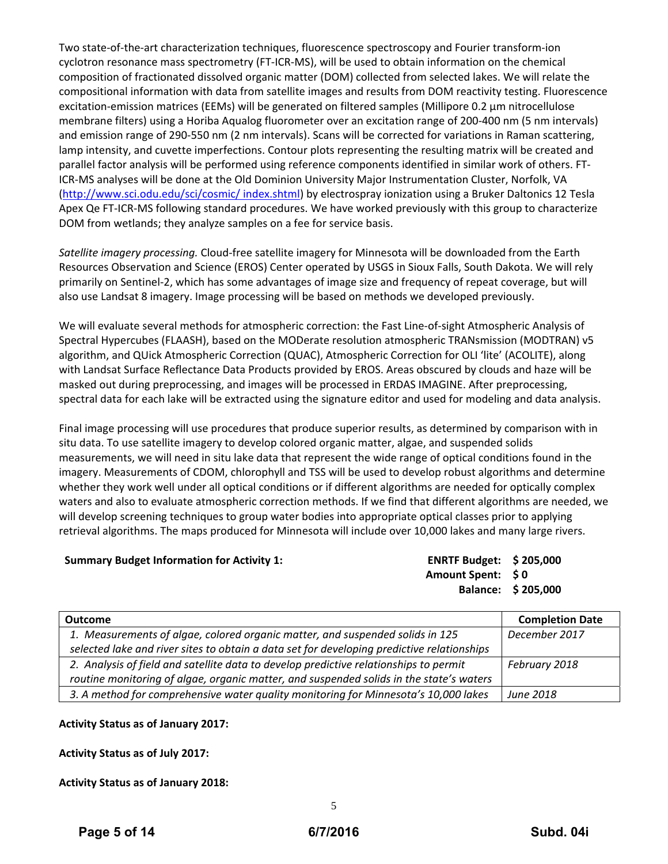Two state‐of‐the‐art characterization techniques, fluorescence spectroscopy and Fourier transform‐ion cyclotron resonance mass spectrometry (FT‐ICR‐MS), will be used to obtain information on the chemical composition of fractionated dissolved organic matter (DOM) collected from selected lakes. We will relate the compositional information with data from satellite images and results from DOM reactivity testing. Fluorescence excitation-emission matrices (EEMs) will be generated on filtered samples (Millipore 0.2 μm nitrocellulose membrane filters) using a Horiba Aqualog fluorometer over an excitation range of 200‐400 nm (5 nm intervals) and emission range of 290‐550 nm (2 nm intervals). Scans will be corrected for variations in Raman scattering, lamp intensity, and cuvette imperfections. Contour plots representing the resulting matrix will be created and parallel factor analysis will be performed using reference components identified in similar work of others. FT‐ ICR‐MS analyses will be done at the Old Dominion University Major Instrumentation Cluster, Norfolk, VA (http://www.sci.odu.edu/sci/cosmic/ index.shtml) by electrospray ionization using a Bruker Daltonics 12 Tesla Apex Qe FT-ICR-MS following standard procedures. We have worked previously with this group to characterize DOM from wetlands; they analyze samples on a fee for service basis.

*Satellite imagery processing.* Cloud‐free satellite imagery for Minnesota will be downloaded from the Earth Resources Observation and Science (EROS) Center operated by USGS in Sioux Falls, South Dakota. We will rely primarily on Sentinel‐2, which has some advantages of image size and frequency of repeat coverage, but will also use Landsat 8 imagery. Image processing will be based on methods we developed previously.

We will evaluate several methods for atmospheric correction: the Fast Line‐of‐sight Atmospheric Analysis of Spectral Hypercubes (FLAASH), based on the MODerate resolution atmospheric TRANsmission (MODTRAN) v5 algorithm, and QUick Atmospheric Correction (QUAC), Atmospheric Correction for OLI 'lite' (ACOLITE), along with Landsat Surface Reflectance Data Products provided by EROS. Areas obscured by clouds and haze will be masked out during preprocessing, and images will be processed in ERDAS IMAGINE. After preprocessing, spectral data for each lake will be extracted using the signature editor and used for modeling and data analysis.

Final image processing will use procedures that produce superior results, as determined by comparison with in situ data. To use satellite imagery to develop colored organic matter, algae, and suspended solids measurements, we will need in situ lake data that represent the wide range of optical conditions found in the imagery. Measurements of CDOM, chlorophyll and TSS will be used to develop robust algorithms and determine whether they work well under all optical conditions or if different algorithms are needed for optically complex waters and also to evaluate atmospheric correction methods. If we find that different algorithms are needed, we will develop screening techniques to group water bodies into appropriate optical classes prior to applying retrieval algorithms. The maps produced for Minnesota will include over 10,000 lakes and many large rivers.

## **Summary Budget Information for Activity 1: ENRTF Budget: \$ 205,000**

**Amount Spent: \$ 0 Balance: \$ 205,000**

| <b>Outcome</b>                                                                             | <b>Completion Date</b> |
|--------------------------------------------------------------------------------------------|------------------------|
| 1. Measurements of algae, colored organic matter, and suspended solids in 125              | December 2017          |
| selected lake and river sites to obtain a data set for developing predictive relationships |                        |
| 2. Analysis of field and satellite data to develop predictive relationships to permit      | February 2018          |
| routine monitoring of algae, organic matter, and suspended solids in the state's waters    |                        |
| 3. A method for comprehensive water quality monitoring for Minnesota's 10,000 lakes        | June 2018              |

## **Activity Status as of January 2017:**

**Activity Status as of July 2017:**

**Activity Status as of January 2018:**

5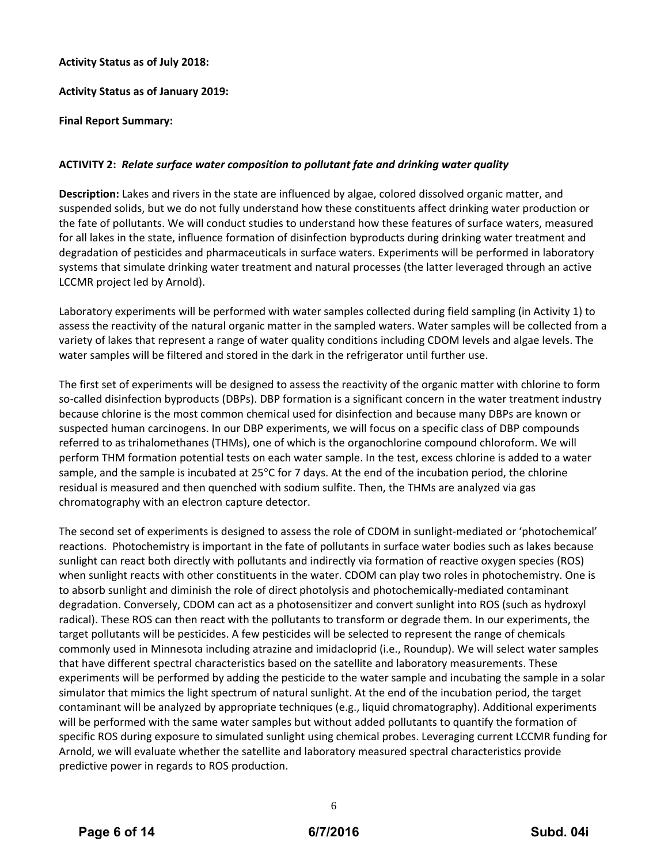### **Activity Status as of July 2018:**

### **Activity Status as of January 2019:**

### **Final Report Summary:**

### **ACTIVITY 2:** *Relate surface water composition to pollutant fate and drinking water quality*

**Description:** Lakes and rivers in the state are influenced by algae, colored dissolved organic matter, and suspended solids, but we do not fully understand how these constituents affect drinking water production or the fate of pollutants. We will conduct studies to understand how these features of surface waters, measured for all lakes in the state, influence formation of disinfection byproducts during drinking water treatment and degradation of pesticides and pharmaceuticals in surface waters. Experiments will be performed in laboratory systems that simulate drinking water treatment and natural processes (the latter leveraged through an active LCCMR project led by Arnold).

Laboratory experiments will be performed with water samples collected during field sampling (in Activity 1) to assess the reactivity of the natural organic matter in the sampled waters. Water samples will be collected from a variety of lakes that represent a range of water quality conditions including CDOM levels and algae levels. The water samples will be filtered and stored in the dark in the refrigerator until further use.

The first set of experiments will be designed to assess the reactivity of the organic matter with chlorine to form so-called disinfection byproducts (DBPs). DBP formation is a significant concern in the water treatment industry because chlorine is the most common chemical used for disinfection and because many DBPs are known or suspected human carcinogens. In our DBP experiments, we will focus on a specific class of DBP compounds referred to as trihalomethanes (THMs), one of which is the organochlorine compound chloroform. We will perform THM formation potential tests on each water sample. In the test, excess chlorine is added to a water sample, and the sample is incubated at 25 $\degree$ C for 7 days. At the end of the incubation period, the chlorine residual is measured and then quenched with sodium sulfite. Then, the THMs are analyzed via gas chromatography with an electron capture detector.

The second set of experiments is designed to assess the role of CDOM in sunlight-mediated or 'photochemical' reactions. Photochemistry is important in the fate of pollutants in surface water bodies such as lakes because sunlight can react both directly with pollutants and indirectly via formation of reactive oxygen species (ROS) when sunlight reacts with other constituents in the water. CDOM can play two roles in photochemistry. One is to absorb sunlight and diminish the role of direct photolysis and photochemically‐mediated contaminant degradation. Conversely, CDOM can act as a photosensitizer and convert sunlight into ROS (such as hydroxyl radical). These ROS can then react with the pollutants to transform or degrade them. In our experiments, the target pollutants will be pesticides. A few pesticides will be selected to represent the range of chemicals commonly used in Minnesota including atrazine and imidacloprid (i.e., Roundup). We will select water samples that have different spectral characteristics based on the satellite and laboratory measurements. These experiments will be performed by adding the pesticide to the water sample and incubating the sample in a solar simulator that mimics the light spectrum of natural sunlight. At the end of the incubation period, the target contaminant will be analyzed by appropriate techniques (e.g., liquid chromatography). Additional experiments will be performed with the same water samples but without added pollutants to quantify the formation of specific ROS during exposure to simulated sunlight using chemical probes. Leveraging current LCCMR funding for Arnold, we will evaluate whether the satellite and laboratory measured spectral characteristics provide predictive power in regards to ROS production.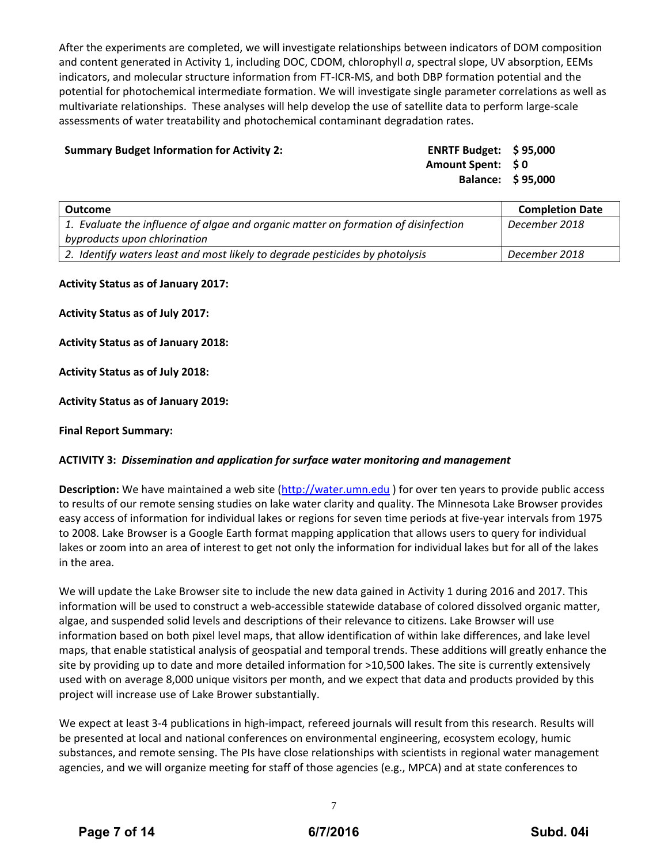After the experiments are completed, we will investigate relationships between indicators of DOM composition and content generated in Activity 1, including DOC, CDOM, chlorophyll *a*, spectral slope, UV absorption, EEMs indicators, and molecular structure information from FT‐ICR‐MS, and both DBP formation potential and the potential for photochemical intermediate formation. We will investigate single parameter correlations as well as multivariate relationships. These analyses will help develop the use of satellite data to perform large‐scale assessments of water treatability and photochemical contaminant degradation rates.

### **Summary Budget Information for Activity 2: ENRTF Budget: \$ 95,000**

**Amount Spent: \$ 0 Balance: \$ 95,000**

| Outcome                                                                            | <b>Completion Date</b> |
|------------------------------------------------------------------------------------|------------------------|
| 1. Evaluate the influence of algae and organic matter on formation of disinfection | December 2018          |
| byproducts upon chlorination                                                       |                        |
| 2. Identify waters least and most likely to degrade pesticides by photolysis       | December 2018          |

#### **Activity Status as of January 2017:**

**Activity Status as of July 2017:**

**Activity Status as of January 2018:**

**Activity Status as of July 2018:**

**Activity Status as of January 2019:**

**Final Report Summary:**

#### **ACTIVITY 3:** *Dissemination and application for surface water monitoring and management*

**Description:** We have maintained a web site (http://water.umn.edu ) for over ten years to provide public access to results of our remote sensing studies on lake water clarity and quality. The Minnesota Lake Browser provides easy access of information for individual lakes or regions for seven time periods at five-year intervals from 1975 to 2008. Lake Browser is a Google Earth format mapping application that allows users to query for individual lakes or zoom into an area of interest to get not only the information for individual lakes but for all of the lakes in the area.

We will update the Lake Browser site to include the new data gained in Activity 1 during 2016 and 2017. This information will be used to construct a web‐accessible statewide database of colored dissolved organic matter, algae, and suspended solid levels and descriptions of their relevance to citizens. Lake Browser will use information based on both pixel level maps, that allow identification of within lake differences, and lake level maps, that enable statistical analysis of geospatial and temporal trends. These additions will greatly enhance the site by providing up to date and more detailed information for >10,500 lakes. The site is currently extensively used with on average 8,000 unique visitors per month, and we expect that data and products provided by this project will increase use of Lake Brower substantially.

We expect at least 3-4 publications in high-impact, refereed journals will result from this research. Results will be presented at local and national conferences on environmental engineering, ecosystem ecology, humic substances, and remote sensing. The PIs have close relationships with scientists in regional water management agencies, and we will organize meeting for staff of those agencies (e.g., MPCA) and at state conferences to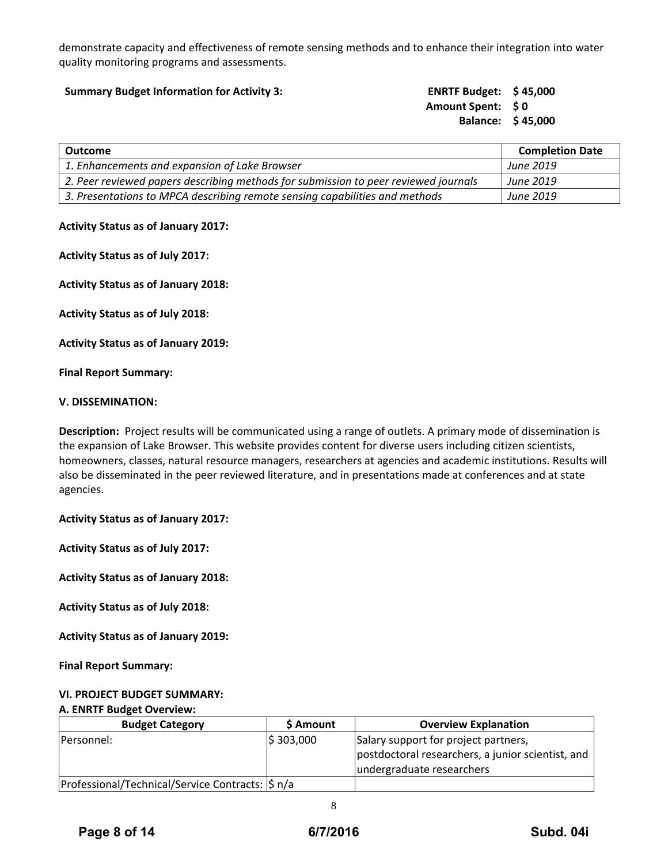demonstrate capacity and effectiveness of remote sensing methods and to enhance their integration into water quality monitoring programs and assessments.

| <b>ENRTF Budget: \$45,000</b><br><b>Summary Budget Information for Activity 3:</b> |                   |
|------------------------------------------------------------------------------------|-------------------|
| <b>Amount Spent: SO</b>                                                            |                   |
|                                                                                    | Balance: \$45,000 |

| Outcome                                                                             | <b>Completion Date</b> |
|-------------------------------------------------------------------------------------|------------------------|
| 1. Enhancements and expansion of Lake Browser                                       | <b>June 2019</b>       |
| 2. Peer reviewed papers describing methods for submission to peer reviewed journals | June 2019              |
| 3. Presentations to MPCA describing remote sensing capabilities and methods         | <b>June 2019</b>       |

### **Activity Status as of January 2017:**

**Activity Status as of July 2017:**

**Activity Status as of January 2018:**

**Activity Status as of July 2018:**

**Activity Status as of January 2019:**

**Final Report Summary:**

#### **V. DISSEMINATION:**

**Description:** Project results will be communicated using a range of outlets. A primary mode of dissemination is the expansion of Lake Browser. This website provides content for diverse users including citizen scientists, homeowners, classes, natural resource managers, researchers at agencies and academic institutions. Results will also be disseminated in the peer reviewed literature, and in presentations made at conferences and at state agencies.

**Activity Status as of January 2017:**

**Activity Status as of July 2017:**

**Activity Status as of January 2018:**

**Activity Status as of July 2018:**

**Activity Status as of January 2019:**

**Final Report Summary:**

## **VI. PROJECT BUDGET SUMMARY:**

#### **A. ENRTF Budget Overview:**

| <b>Budget Category</b>                                | \$ Amount  | <b>Overview Explanation</b>                       |
|-------------------------------------------------------|------------|---------------------------------------------------|
| <b>Personnel:</b>                                     | \$ 303,000 | Salary support for project partners,              |
|                                                       |            | postdoctoral researchers, a junior scientist, and |
|                                                       |            | undergraduate researchers                         |
| Professional/Technical/Service Contracts: $ \xi $ n/a |            |                                                   |

8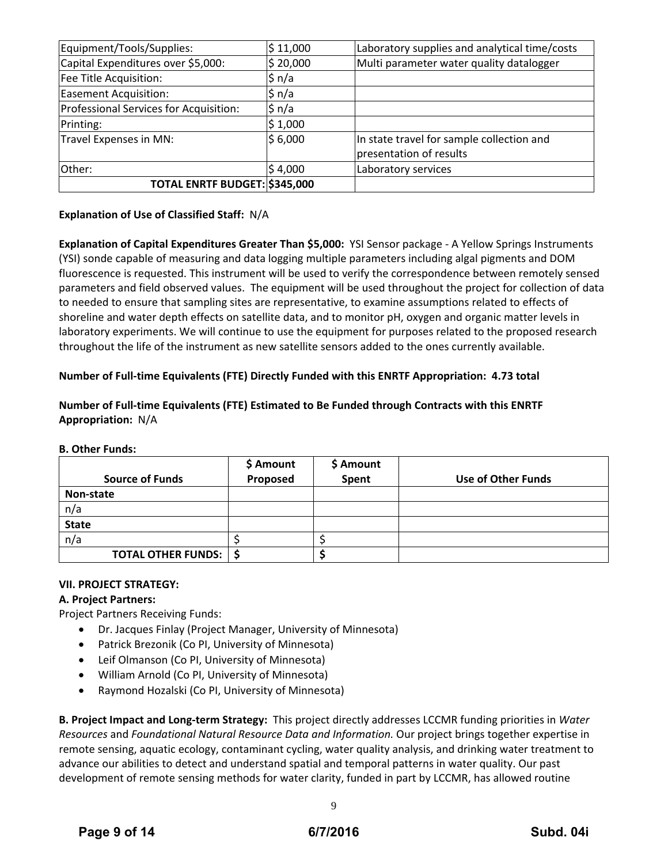| Equipment/Tools/Supplies:              | \$11,000 | Laboratory supplies and analytical time/costs |
|----------------------------------------|----------|-----------------------------------------------|
| Capital Expenditures over \$5,000:     | \$20,000 | Multi parameter water quality datalogger      |
| Fee Title Acquisition:                 | \$ n/a   |                                               |
| Easement Acquisition:                  | $\sin/a$ |                                               |
| Professional Services for Acquisition: | $\sin/a$ |                                               |
| Printing:                              | \$1,000  |                                               |
| Travel Expenses in MN:                 | \$6,000  | In state travel for sample collection and     |
|                                        |          | presentation of results                       |
| Other:                                 | \$4,000  | Laboratory services                           |
| TOTAL ENRTF BUDGET: \$345,000          |          |                                               |

## **Explanation of Use of Classified Staff:** N/A

**Explanation of Capital Expenditures Greater Than \$5,000:** YSI Sensor package ‐ A Yellow Springs Instruments (YSI) sonde capable of measuring and data logging multiple parameters including algal pigments and DOM fluorescence is requested. This instrument will be used to verify the correspondence between remotely sensed parameters and field observed values. The equipment will be used throughout the project for collection of data to needed to ensure that sampling sites are representative, to examine assumptions related to effects of shoreline and water depth effects on satellite data, and to monitor pH, oxygen and organic matter levels in laboratory experiments. We will continue to use the equipment for purposes related to the proposed research throughout the life of the instrument as new satellite sensors added to the ones currently available.

## **Number of Full‐time Equivalents (FTE) Directly Funded with this ENRTF Appropriation: 4.73 total**

## **Number of Full‐time Equivalents (FTE) Estimated to Be Funded through Contracts with this ENRTF Appropriation:** N/A

#### **B. Other Funds:**

| <b>Source of Funds</b>    | \$ Amount<br>Proposed | \$ Amount<br>Spent | Use of Other Funds |
|---------------------------|-----------------------|--------------------|--------------------|
| Non-state                 |                       |                    |                    |
| n/a                       |                       |                    |                    |
| <b>State</b>              |                       |                    |                    |
| n/a                       |                       |                    |                    |
| <b>TOTAL OTHER FUNDS:</b> |                       |                    |                    |

## **VII. PROJECT STRATEGY:**

## **A. Project Partners:**

Project Partners Receiving Funds:

- Dr. Jacques Finlay (Project Manager, University of Minnesota)
- Patrick Brezonik (Co PI, University of Minnesota)
- Leif Olmanson (Co PI, University of Minnesota)
- William Arnold (Co PI, University of Minnesota)
- Raymond Hozalski (Co PI, University of Minnesota)

**B. Project Impact and Long‐term Strategy:** This project directly addresses LCCMR funding priorities in *Water Resources* and *Foundational Natural Resource Data and Information.* Our project brings together expertise in remote sensing, aquatic ecology, contaminant cycling, water quality analysis, and drinking water treatment to advance our abilities to detect and understand spatial and temporal patterns in water quality. Our past development of remote sensing methods for water clarity, funded in part by LCCMR, has allowed routine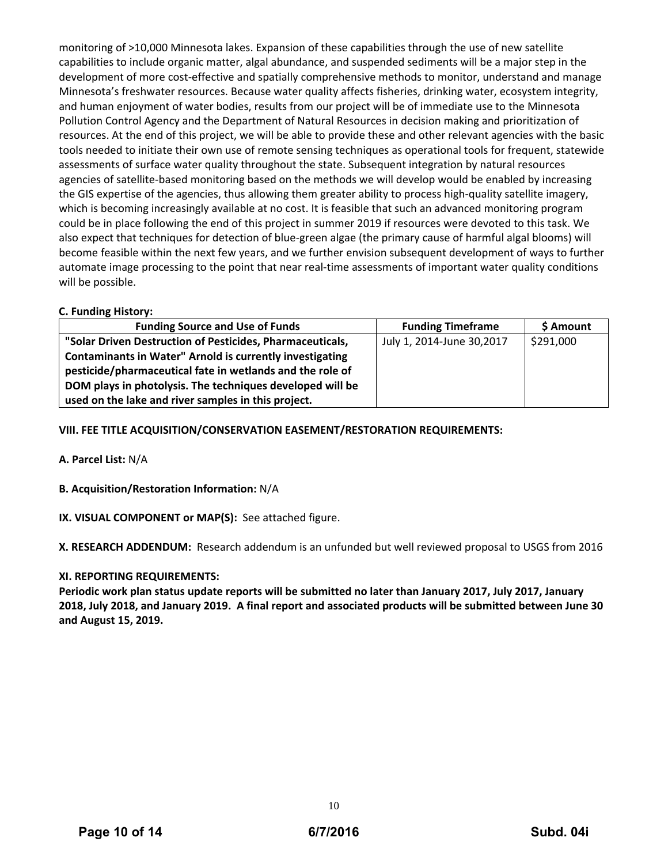monitoring of >10,000 Minnesota lakes. Expansion of these capabilities through the use of new satellite capabilities to include organic matter, algal abundance, and suspended sediments will be a major step in the development of more cost‐effective and spatially comprehensive methods to monitor, understand and manage Minnesota's freshwater resources. Because water quality affects fisheries, drinking water, ecosystem integrity, and human enjoyment of water bodies, results from our project will be of immediate use to the Minnesota Pollution Control Agency and the Department of Natural Resources in decision making and prioritization of resources. At the end of this project, we will be able to provide these and other relevant agencies with the basic tools needed to initiate their own use of remote sensing techniques as operational tools for frequent, statewide assessments of surface water quality throughout the state. Subsequent integration by natural resources agencies of satellite-based monitoring based on the methods we will develop would be enabled by increasing the GIS expertise of the agencies, thus allowing them greater ability to process high-quality satellite imagery, which is becoming increasingly available at no cost. It is feasible that such an advanced monitoring program could be in place following the end of this project in summer 2019 if resources were devoted to this task. We also expect that techniques for detection of blue‐green algae (the primary cause of harmful algal blooms) will become feasible within the next few years, and we further envision subsequent development of ways to further automate image processing to the point that near real-time assessments of important water quality conditions will be possible.

### **C. Funding History:**

| <b>Funding Source and Use of Funds</b>                          | <b>Funding Timeframe</b>  | \$ Amount |
|-----------------------------------------------------------------|---------------------------|-----------|
| "Solar Driven Destruction of Pesticides, Pharmaceuticals,       | July 1, 2014-June 30,2017 | \$291,000 |
| <b>Contaminants in Water" Arnold is currently investigating</b> |                           |           |
| pesticide/pharmaceutical fate in wetlands and the role of       |                           |           |
| DOM plays in photolysis. The techniques developed will be       |                           |           |
| used on the lake and river samples in this project.             |                           |           |

## **VIII. FEE TITLE ACQUISITION/CONSERVATION EASEMENT/RESTORATION REQUIREMENTS:**

**A. Parcel List:** N/A

- **B. Acquisition/Restoration Information:** N/A
- **IX. VISUAL COMPONENT or MAP(S):** See attached figure.

**X. RESEARCH ADDENDUM:** Research addendum is an unfunded but well reviewed proposal to USGS from 2016

## **XI. REPORTING REQUIREMENTS:**

**Periodic work plan status update reports will be submitted no later than January 2017, July 2017, January** 2018, July 2018, and January 2019. A final report and associated products will be submitted between June 30 **and August 15, 2019.**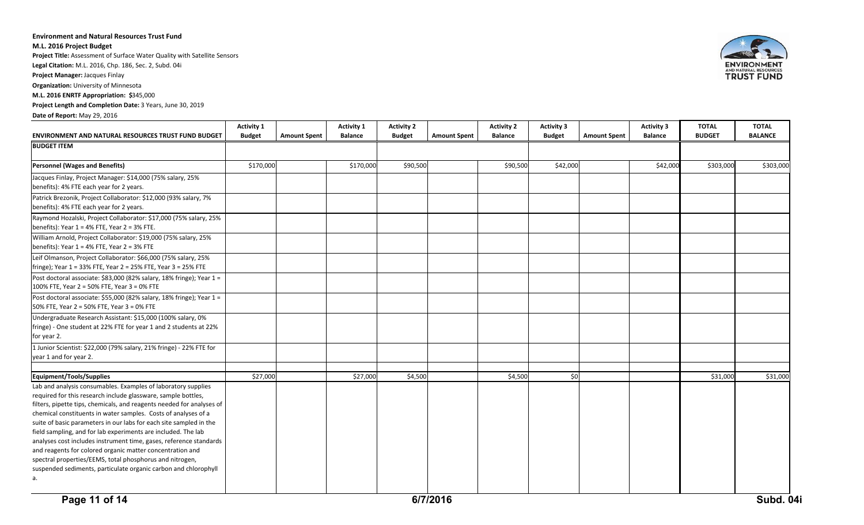#### **Environment and Natural Resources Trust Fund**

**M.L. 2016 Project Budget**

**Project Title:** Assessment of Surface Water Quality with Satellite Sensors

**Legal Citation:** M.L. 2016, Chp. 186, Sec. 2, Subd. 04i

**Project Manager:** Jacques Finlay

**Organization:** University of Minnesota

**M.L. 2016 ENRTF Appropriation: \$**345,000

**Project Length and Completion Date:** 3 Years, June 30, 2019

**Date of Report:** May 29, 2016

| <b>ENVIRONMENT AND NATURAL RESOURCES TRUST FUND BUDGET</b>                                                                                                                                                                                                                                                                                                                                                                                                                                                                                                                                                                                                                               | <b>Activity 1</b><br><b>Budget</b> | <b>Amount Spent</b> | <b>Activity 1</b><br><b>Balance</b> | <b>Activity 2</b><br><b>Budget</b> | <b>Amount Spent</b> | <b>Activity 2</b><br><b>Balance</b> | <b>Activity 3</b><br><b>Budget</b> | <b>Amount Spent</b> | <b>Activity 3</b><br><b>Balance</b> | <b>TOTAL</b><br><b>BUDGET</b> | <b>TOTAL</b><br><b>BALANCE</b> |
|------------------------------------------------------------------------------------------------------------------------------------------------------------------------------------------------------------------------------------------------------------------------------------------------------------------------------------------------------------------------------------------------------------------------------------------------------------------------------------------------------------------------------------------------------------------------------------------------------------------------------------------------------------------------------------------|------------------------------------|---------------------|-------------------------------------|------------------------------------|---------------------|-------------------------------------|------------------------------------|---------------------|-------------------------------------|-------------------------------|--------------------------------|
| <b>BUDGET ITEM</b>                                                                                                                                                                                                                                                                                                                                                                                                                                                                                                                                                                                                                                                                       |                                    |                     |                                     |                                    |                     |                                     |                                    |                     |                                     |                               |                                |
| <b>Personnel (Wages and Benefits)</b>                                                                                                                                                                                                                                                                                                                                                                                                                                                                                                                                                                                                                                                    | \$170,000                          |                     | \$170,000                           | \$90,500                           |                     | \$90,500                            | \$42,000                           |                     | \$42,000                            | \$303,000                     | \$303,000                      |
| Jacques Finlay, Project Manager: \$14,000 (75% salary, 25%<br>benefits): 4% FTE each year for 2 years.                                                                                                                                                                                                                                                                                                                                                                                                                                                                                                                                                                                   |                                    |                     |                                     |                                    |                     |                                     |                                    |                     |                                     |                               |                                |
| Patrick Brezonik, Project Collaborator: \$12,000 (93% salary, 7%<br>benefits): 4% FTE each year for 2 years.                                                                                                                                                                                                                                                                                                                                                                                                                                                                                                                                                                             |                                    |                     |                                     |                                    |                     |                                     |                                    |                     |                                     |                               |                                |
| Raymond Hozalski, Project Collaborator: \$17,000 (75% salary, 25%<br>benefits): Year $1 = 4%$ FTE, Year $2 = 3%$ FTE.                                                                                                                                                                                                                                                                                                                                                                                                                                                                                                                                                                    |                                    |                     |                                     |                                    |                     |                                     |                                    |                     |                                     |                               |                                |
| William Arnold, Project Collaborator: \$19,000 (75% salary, 25%<br>benefits): Year $1 = 4%$ FTE, Year $2 = 3%$ FTE                                                                                                                                                                                                                                                                                                                                                                                                                                                                                                                                                                       |                                    |                     |                                     |                                    |                     |                                     |                                    |                     |                                     |                               |                                |
| Leif Olmanson, Project Collaborator: \$66,000 (75% salary, 25%<br>fringe); Year 1 = 33% FTE, Year 2 = 25% FTE, Year 3 = 25% FTE                                                                                                                                                                                                                                                                                                                                                                                                                                                                                                                                                          |                                    |                     |                                     |                                    |                     |                                     |                                    |                     |                                     |                               |                                |
| Post doctoral associate: \$83,000 (82% salary, 18% fringe); Year 1 =<br>100% FTE, Year 2 = 50% FTE, Year 3 = 0% FTE                                                                                                                                                                                                                                                                                                                                                                                                                                                                                                                                                                      |                                    |                     |                                     |                                    |                     |                                     |                                    |                     |                                     |                               |                                |
| Post doctoral associate: \$55,000 (82% salary, 18% fringe); Year 1 =<br>50% FTE, Year 2 = 50% FTE, Year 3 = 0% FTE                                                                                                                                                                                                                                                                                                                                                                                                                                                                                                                                                                       |                                    |                     |                                     |                                    |                     |                                     |                                    |                     |                                     |                               |                                |
| Undergraduate Research Assistant: \$15,000 (100% salary, 0%<br>fringe) - One student at 22% FTE for year 1 and 2 students at 22%<br>for year 2.                                                                                                                                                                                                                                                                                                                                                                                                                                                                                                                                          |                                    |                     |                                     |                                    |                     |                                     |                                    |                     |                                     |                               |                                |
| 1 Junior Scientist: \$22,000 (79% salary, 21% fringe) - 22% FTE for<br>year 1 and for year 2.                                                                                                                                                                                                                                                                                                                                                                                                                                                                                                                                                                                            |                                    |                     |                                     |                                    |                     |                                     |                                    |                     |                                     |                               |                                |
| Equipment/Tools/Supplies                                                                                                                                                                                                                                                                                                                                                                                                                                                                                                                                                                                                                                                                 | \$27,000                           |                     | \$27,000                            | \$4,500                            |                     | \$4,500                             | \$0                                |                     |                                     | \$31,000                      | \$31,000                       |
| Lab and analysis consumables. Examples of laboratory supplies<br>required for this research include glassware, sample bottles,<br>filters, pipette tips, chemicals, and reagents needed for analyses of<br>chemical constituents in water samples. Costs of analyses of a<br>suite of basic parameters in our labs for each site sampled in the<br>field sampling, and for lab experiments are included. The lab<br>analyses cost includes instrument time, gases, reference standards<br>and reagents for colored organic matter concentration and<br>spectral properties/EEMS, total phosphorus and nitrogen,<br>suspended sediments, particulate organic carbon and chlorophyll<br>а. |                                    |                     |                                     |                                    |                     |                                     |                                    |                     |                                     |                               |                                |

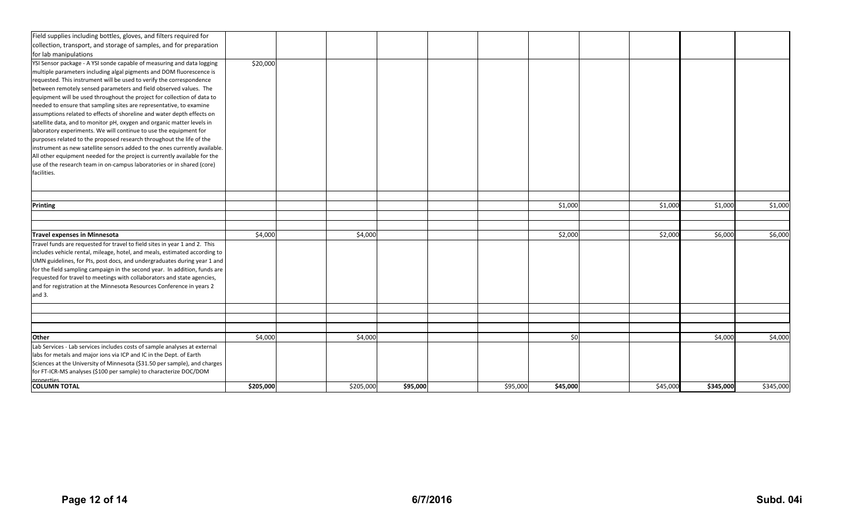| Field supplies including bottles, gloves, and filters required for         |           |           |          |          |          |          |           |           |
|----------------------------------------------------------------------------|-----------|-----------|----------|----------|----------|----------|-----------|-----------|
| collection, transport, and storage of samples, and for preparation         |           |           |          |          |          |          |           |           |
| for lab manipulations                                                      |           |           |          |          |          |          |           |           |
| YSI Sensor package - A YSI sonde capable of measuring and data logging     | \$20,000  |           |          |          |          |          |           |           |
| multiple parameters including algal pigments and DOM fluorescence is       |           |           |          |          |          |          |           |           |
| requested. This instrument will be used to verify the correspondence       |           |           |          |          |          |          |           |           |
| between remotely sensed parameters and field observed values. The          |           |           |          |          |          |          |           |           |
| equipment will be used throughout the project for collection of data to    |           |           |          |          |          |          |           |           |
| needed to ensure that sampling sites are representative, to examine        |           |           |          |          |          |          |           |           |
| assumptions related to effects of shoreline and water depth effects on     |           |           |          |          |          |          |           |           |
| satellite data, and to monitor pH, oxygen and organic matter levels in     |           |           |          |          |          |          |           |           |
| laboratory experiments. We will continue to use the equipment for          |           |           |          |          |          |          |           |           |
| purposes related to the proposed research throughout the life of the       |           |           |          |          |          |          |           |           |
| instrument as new satellite sensors added to the ones currently available. |           |           |          |          |          |          |           |           |
| All other equipment needed for the project is currently available for the  |           |           |          |          |          |          |           |           |
| use of the research team in on-campus laboratories or in shared (core)     |           |           |          |          |          |          |           |           |
| facilities.                                                                |           |           |          |          |          |          |           |           |
|                                                                            |           |           |          |          |          |          |           |           |
|                                                                            |           |           |          |          |          |          |           |           |
| <b>Printing</b>                                                            |           |           |          |          | \$1,000  | \$1,000  | \$1,000   | \$1,000   |
|                                                                            |           |           |          |          |          |          |           |           |
|                                                                            |           |           |          |          |          |          |           |           |
| <b>Travel expenses in Minnesota</b>                                        | \$4,000   | \$4,000   |          |          | \$2,000  | \$2,000  | \$6,000   | \$6,000   |
| Travel funds are requested for travel to field sites in year 1 and 2. This |           |           |          |          |          |          |           |           |
| includes vehicle rental, mileage, hotel, and meals, estimated according to |           |           |          |          |          |          |           |           |
| UMN guidelines, for PIs, post docs, and undergraduates during year 1 and   |           |           |          |          |          |          |           |           |
| for the field sampling campaign in the second year. In addition, funds are |           |           |          |          |          |          |           |           |
| requested for travel to meetings with collaborators and state agencies,    |           |           |          |          |          |          |           |           |
| and for registration at the Minnesota Resources Conference in years 2      |           |           |          |          |          |          |           |           |
| and $3.$                                                                   |           |           |          |          |          |          |           |           |
|                                                                            |           |           |          |          |          |          |           |           |
|                                                                            |           |           |          |          |          |          |           |           |
|                                                                            |           |           |          |          |          |          |           |           |
| <b>Other</b>                                                               | \$4,000   | \$4,000   |          |          | \$0      |          | \$4,000   | \$4,000   |
| Lab Services - Lab services includes costs of sample analyses at external  |           |           |          |          |          |          |           |           |
| labs for metals and major ions via ICP and IC in the Dept. of Earth        |           |           |          |          |          |          |           |           |
| Sciences at the University of Minnesota (\$31.50 per sample), and charges  |           |           |          |          |          |          |           |           |
| for FT-ICR-MS analyses (\$100 per sample) to characterize DOC/DOM          |           |           |          |          |          |          |           |           |
| <i>properties</i><br><b>COLUMN TOTAL</b>                                   | \$205,000 | \$205,000 | \$95,000 | \$95,000 | \$45,000 | \$45,000 | \$345,000 | \$345,000 |
|                                                                            |           |           |          |          |          |          |           |           |